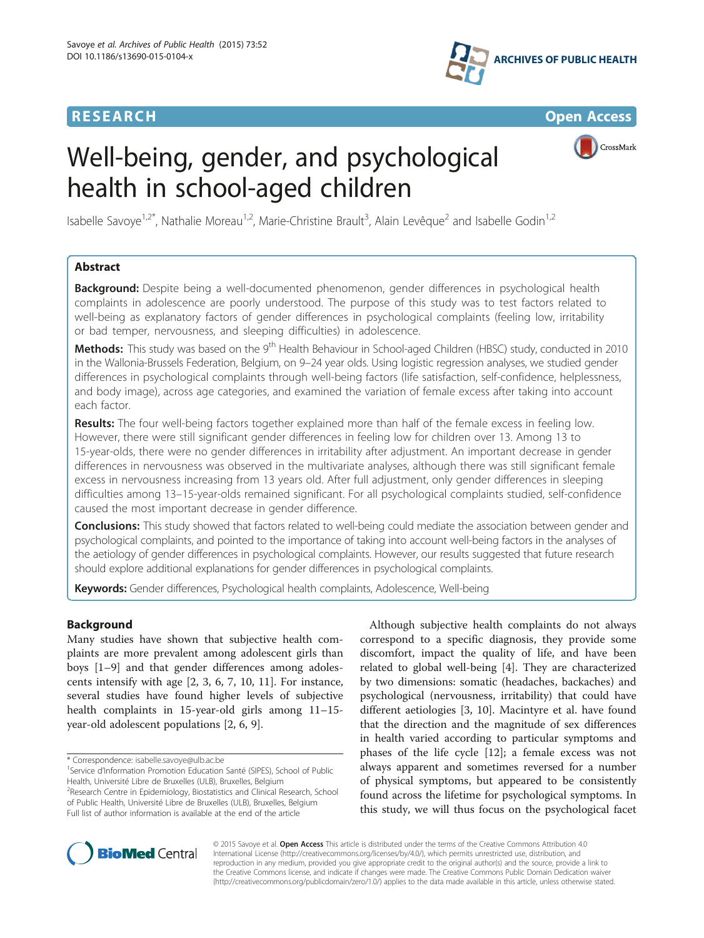## **RESEARCH CHE Open Access**



# Well-being, gender, and psychological health in school-aged children



Isabelle Savoye<sup>1,2\*</sup>, Nathalie Moreau<sup>1,2</sup>, Marie-Christine Brault<sup>3</sup>, Alain Levêque<sup>2</sup> and Isabelle Godin<sup>1,2</sup>

## Abstract

Background: Despite being a well-documented phenomenon, gender differences in psychological health complaints in adolescence are poorly understood. The purpose of this study was to test factors related to well-being as explanatory factors of gender differences in psychological complaints (feeling low, irritability or bad temper, nervousness, and sleeping difficulties) in adolescence.

Methods: This study was based on the 9<sup>th</sup> Health Behaviour in School-aged Children (HBSC) study, conducted in 2010 in the Wallonia-Brussels Federation, Belgium, on 9–24 year olds. Using logistic regression analyses, we studied gender differences in psychological complaints through well-being factors (life satisfaction, self-confidence, helplessness, and body image), across age categories, and examined the variation of female excess after taking into account each factor.

Results: The four well-being factors together explained more than half of the female excess in feeling low. However, there were still significant gender differences in feeling low for children over 13. Among 13 to 15-year-olds, there were no gender differences in irritability after adjustment. An important decrease in gender differences in nervousness was observed in the multivariate analyses, although there was still significant female excess in nervousness increasing from 13 years old. After full adjustment, only gender differences in sleeping difficulties among 13–15-year-olds remained significant. For all psychological complaints studied, self-confidence caused the most important decrease in gender difference.

Conclusions: This study showed that factors related to well-being could mediate the association between gender and psychological complaints, and pointed to the importance of taking into account well-being factors in the analyses of the aetiology of gender differences in psychological complaints. However, our results suggested that future research should explore additional explanations for gender differences in psychological complaints.

Keywords: Gender differences, Psychological health complaints, Adolescence, Well-being

## Background

Many studies have shown that subjective health complaints are more prevalent among adolescent girls than boys [\[1](#page-6-0)–[9\]](#page-6-0) and that gender differences among adolescents intensify with age [\[2](#page-6-0), [3, 6](#page-6-0), [7, 10](#page-6-0), [11\]](#page-6-0). For instance, several studies have found higher levels of subjective health complaints in 15-year-old girls among 11–15 year-old adolescent populations [[2](#page-6-0), [6](#page-6-0), [9](#page-6-0)].

Full list of author information is available at the end of the article

Although subjective health complaints do not always correspond to a specific diagnosis, they provide some discomfort, impact the quality of life, and have been related to global well-being [[4\]](#page-6-0). They are characterized by two dimensions: somatic (headaches, backaches) and psychological (nervousness, irritability) that could have different aetiologies [[3, 10\]](#page-6-0). Macintyre et al. have found that the direction and the magnitude of sex differences in health varied according to particular symptoms and phases of the life cycle [\[12\]](#page-6-0); a female excess was not always apparent and sometimes reversed for a number of physical symptoms, but appeared to be consistently found across the lifetime for psychological symptoms. In this study, we will thus focus on the psychological facet



© 2015 Savoye et al. Open Access This article is distributed under the terms of the Creative Commons Attribution 4.0 International License [\(http://creativecommons.org/licenses/by/4.0/](http://creativecommons.org/licenses/by/4.0/)), which permits unrestricted use, distribution, and reproduction in any medium, provided you give appropriate credit to the original author(s) and the source, provide a link to the Creative Commons license, and indicate if changes were made. The Creative Commons Public Domain Dedication waiver [\(http://creativecommons.org/publicdomain/zero/1.0/](http://creativecommons.org/publicdomain/zero/1.0/)) applies to the data made available in this article, unless otherwise stated.

<sup>\*</sup> Correspondence: [isabelle.savoye@ulb.ac.be](mailto:isabelle.savoye@ulb.ac.be) <sup>1</sup>

<sup>&</sup>lt;sup>1</sup>Service d'Information Promotion Education Santé (SIPES), School of Public Health, Université Libre de Bruxelles (ULB), Bruxelles, Belgium <sup>2</sup>Research Centre in Epidemiology, Biostatistics and Clinical Research, School of Public Health, Université Libre de Bruxelles (ULB), Bruxelles, Belgium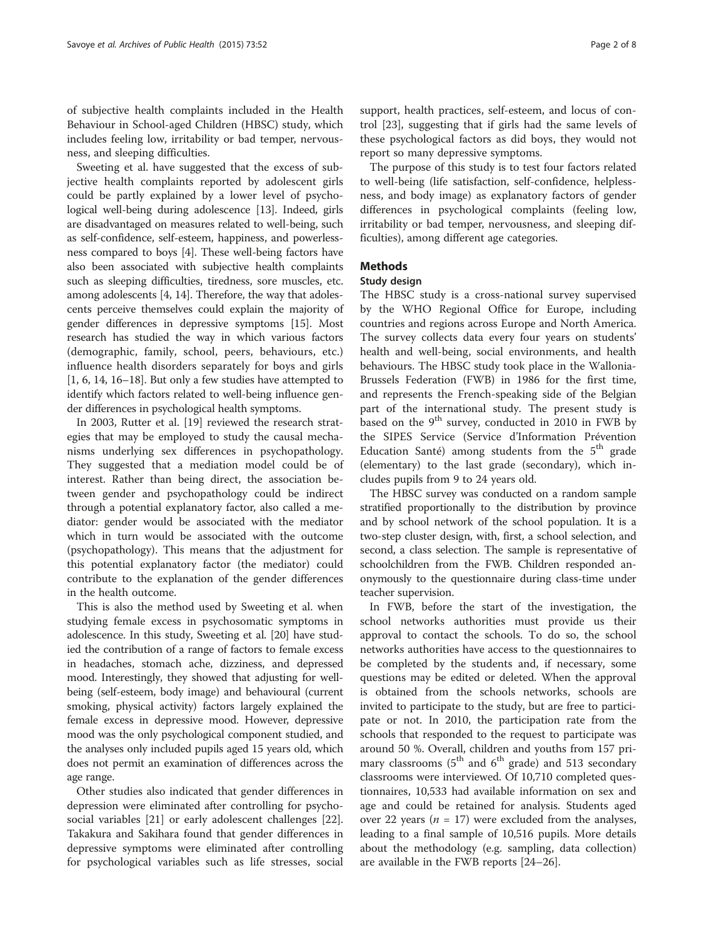of subjective health complaints included in the Health Behaviour in School-aged Children (HBSC) study, which includes feeling low, irritability or bad temper, nervousness, and sleeping difficulties.

Sweeting et al. have suggested that the excess of subjective health complaints reported by adolescent girls could be partly explained by a lower level of psychological well-being during adolescence [[13](#page-6-0)]. Indeed, girls are disadvantaged on measures related to well-being, such as self-confidence, self-esteem, happiness, and powerlessness compared to boys [[4](#page-6-0)]. These well-being factors have also been associated with subjective health complaints such as sleeping difficulties, tiredness, sore muscles, etc. among adolescents [\[4](#page-6-0), [14\]](#page-6-0). Therefore, the way that adolescents perceive themselves could explain the majority of gender differences in depressive symptoms [\[15\]](#page-6-0). Most research has studied the way in which various factors (demographic, family, school, peers, behaviours, etc.) influence health disorders separately for boys and girls [[1, 6](#page-6-0), [14, 16](#page-6-0)–[18\]](#page-6-0). But only a few studies have attempted to identify which factors related to well-being influence gender differences in psychological health symptoms.

In 2003, Rutter et al. [[19](#page-6-0)] reviewed the research strategies that may be employed to study the causal mechanisms underlying sex differences in psychopathology. They suggested that a mediation model could be of interest. Rather than being direct, the association between gender and psychopathology could be indirect through a potential explanatory factor, also called a mediator: gender would be associated with the mediator which in turn would be associated with the outcome (psychopathology). This means that the adjustment for this potential explanatory factor (the mediator) could contribute to the explanation of the gender differences in the health outcome.

This is also the method used by Sweeting et al. when studying female excess in psychosomatic symptoms in adolescence. In this study, Sweeting et al. [\[20\]](#page-6-0) have studied the contribution of a range of factors to female excess in headaches, stomach ache, dizziness, and depressed mood. Interestingly, they showed that adjusting for wellbeing (self-esteem, body image) and behavioural (current smoking, physical activity) factors largely explained the female excess in depressive mood. However, depressive mood was the only psychological component studied, and the analyses only included pupils aged 15 years old, which does not permit an examination of differences across the age range.

Other studies also indicated that gender differences in depression were eliminated after controlling for psychosocial variables [\[21\]](#page-6-0) or early adolescent challenges [\[22](#page-6-0)]. Takakura and Sakihara found that gender differences in depressive symptoms were eliminated after controlling for psychological variables such as life stresses, social support, health practices, self-esteem, and locus of control [\[23](#page-6-0)], suggesting that if girls had the same levels of these psychological factors as did boys, they would not report so many depressive symptoms.

The purpose of this study is to test four factors related to well-being (life satisfaction, self-confidence, helplessness, and body image) as explanatory factors of gender differences in psychological complaints (feeling low, irritability or bad temper, nervousness, and sleeping difficulties), among different age categories.

## Methods

## Study design

The HBSC study is a cross-national survey supervised by the WHO Regional Office for Europe, including countries and regions across Europe and North America. The survey collects data every four years on students' health and well-being, social environments, and health behaviours. The HBSC study took place in the Wallonia-Brussels Federation (FWB) in 1986 for the first time, and represents the French-speaking side of the Belgian part of the international study. The present study is based on the  $9<sup>th</sup>$  survey, conducted in 2010 in FWB by the SIPES Service (Service d'Information Prévention Education Santé) among students from the  $5<sup>th</sup>$  grade (elementary) to the last grade (secondary), which includes pupils from 9 to 24 years old.

The HBSC survey was conducted on a random sample stratified proportionally to the distribution by province and by school network of the school population. It is a two-step cluster design, with, first, a school selection, and second, a class selection. The sample is representative of schoolchildren from the FWB. Children responded anonymously to the questionnaire during class-time under teacher supervision.

In FWB, before the start of the investigation, the school networks authorities must provide us their approval to contact the schools. To do so, the school networks authorities have access to the questionnaires to be completed by the students and, if necessary, some questions may be edited or deleted. When the approval is obtained from the schools networks, schools are invited to participate to the study, but are free to participate or not. In 2010, the participation rate from the schools that responded to the request to participate was around 50 %. Overall, children and youths from 157 primary classrooms ( $5<sup>th</sup>$  and  $6<sup>th</sup>$  grade) and 513 secondary classrooms were interviewed. Of 10,710 completed questionnaires, 10,533 had available information on sex and age and could be retained for analysis. Students aged over 22 years ( $n = 17$ ) were excluded from the analyses, leading to a final sample of 10,516 pupils. More details about the methodology (e.g. sampling, data collection) are available in the FWB reports [[24](#page-7-0)–[26](#page-7-0)].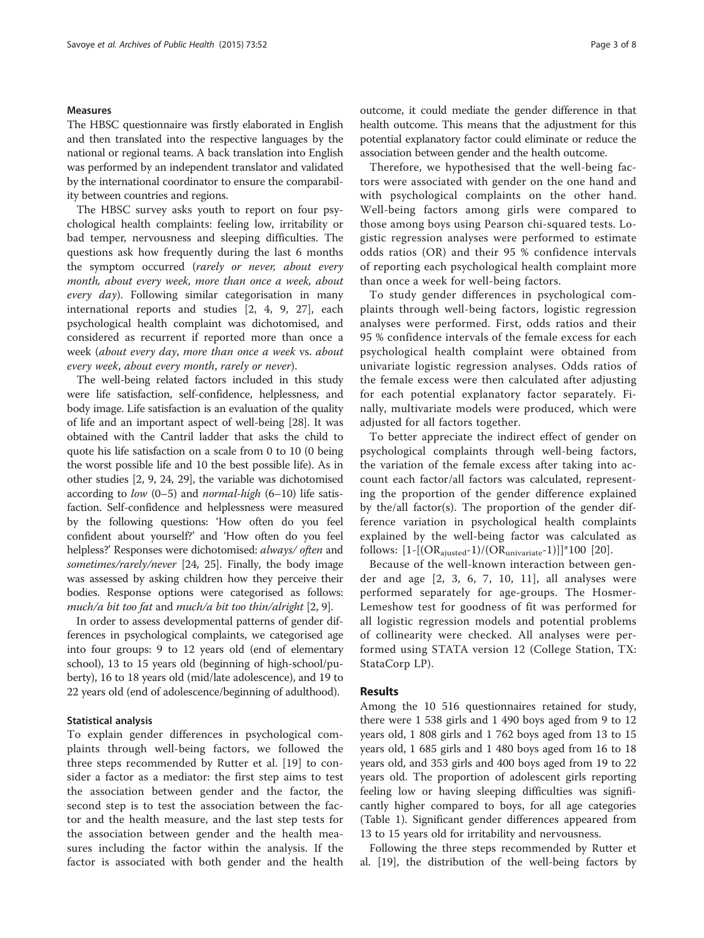## **Measures**

The HBSC questionnaire was firstly elaborated in English and then translated into the respective languages by the national or regional teams. A back translation into English was performed by an independent translator and validated by the international coordinator to ensure the comparability between countries and regions.

The HBSC survey asks youth to report on four psychological health complaints: feeling low, irritability or bad temper, nervousness and sleeping difficulties. The questions ask how frequently during the last 6 months the symptom occurred (rarely or never, about every month, about every week, more than once a week, about every  $day$ ). Following similar categorisation in many international reports and studies [\[2](#page-6-0), [4](#page-6-0), [9,](#page-6-0) [27](#page-7-0)], each psychological health complaint was dichotomised, and considered as recurrent if reported more than once a week (about every day, more than once a week vs. about every week, about every month, rarely or never).

The well-being related factors included in this study were life satisfaction, self-confidence, helplessness, and body image. Life satisfaction is an evaluation of the quality of life and an important aspect of well-being [\[28\]](#page-7-0). It was obtained with the Cantril ladder that asks the child to quote his life satisfaction on a scale from 0 to 10 (0 being the worst possible life and 10 the best possible life). As in other studies [\[2, 9](#page-6-0), [24, 29\]](#page-7-0), the variable was dichotomised according to low  $(0-5)$  and *normal-high*  $(6-10)$  life satisfaction. Self-confidence and helplessness were measured by the following questions: 'How often do you feel confident about yourself?' and 'How often do you feel helpless?' Responses were dichotomised: always/ often and sometimes/rarely/never [[24](#page-7-0), [25\]](#page-7-0). Finally, the body image was assessed by asking children how they perceive their bodies. Response options were categorised as follows: much/a bit too fat and much/a bit too thin/alright [[2](#page-6-0), [9\]](#page-6-0).

In order to assess developmental patterns of gender differences in psychological complaints, we categorised age into four groups: 9 to 12 years old (end of elementary school), 13 to 15 years old (beginning of high-school/puberty), 16 to 18 years old (mid/late adolescence), and 19 to 22 years old (end of adolescence/beginning of adulthood).

## Statistical analysis

To explain gender differences in psychological complaints through well-being factors, we followed the three steps recommended by Rutter et al. [\[19](#page-6-0)] to consider a factor as a mediator: the first step aims to test the association between gender and the factor, the second step is to test the association between the factor and the health measure, and the last step tests for the association between gender and the health measures including the factor within the analysis. If the factor is associated with both gender and the health

outcome, it could mediate the gender difference in that health outcome. This means that the adjustment for this potential explanatory factor could eliminate or reduce the association between gender and the health outcome.

Therefore, we hypothesised that the well-being factors were associated with gender on the one hand and with psychological complaints on the other hand. Well-being factors among girls were compared to those among boys using Pearson chi-squared tests. Logistic regression analyses were performed to estimate odds ratios (OR) and their 95 % confidence intervals of reporting each psychological health complaint more than once a week for well-being factors.

To study gender differences in psychological complaints through well-being factors, logistic regression analyses were performed. First, odds ratios and their 95 % confidence intervals of the female excess for each psychological health complaint were obtained from univariate logistic regression analyses. Odds ratios of the female excess were then calculated after adjusting for each potential explanatory factor separately. Finally, multivariate models were produced, which were adjusted for all factors together.

To better appreciate the indirect effect of gender on psychological complaints through well-being factors, the variation of the female excess after taking into account each factor/all factors was calculated, representing the proportion of the gender difference explained by the/all factor(s). The proportion of the gender difference variation in psychological health complaints explained by the well-being factor was calculated as follows:  $[1-[(OR_{ajusted}-1)/(OR_{univariate}-1)]*100$  [\[20](#page-6-0)].

Because of the well-known interaction between gender and age [[2](#page-6-0), [3](#page-6-0), [6, 7, 10](#page-6-0), [11\]](#page-6-0), all analyses were performed separately for age-groups. The Hosmer-Lemeshow test for goodness of fit was performed for all logistic regression models and potential problems of collinearity were checked. All analyses were performed using STATA version 12 (College Station, TX: StataCorp LP).

## Results

Among the 10 516 questionnaires retained for study, there were 1 538 girls and 1 490 boys aged from 9 to 12 years old, 1 808 girls and 1 762 boys aged from 13 to 15 years old, 1 685 girls and 1 480 boys aged from 16 to 18 years old, and 353 girls and 400 boys aged from 19 to 22 years old. The proportion of adolescent girls reporting feeling low or having sleeping difficulties was significantly higher compared to boys, for all age categories (Table [1](#page-3-0)). Significant gender differences appeared from 13 to 15 years old for irritability and nervousness.

Following the three steps recommended by Rutter et al. [[19\]](#page-6-0), the distribution of the well-being factors by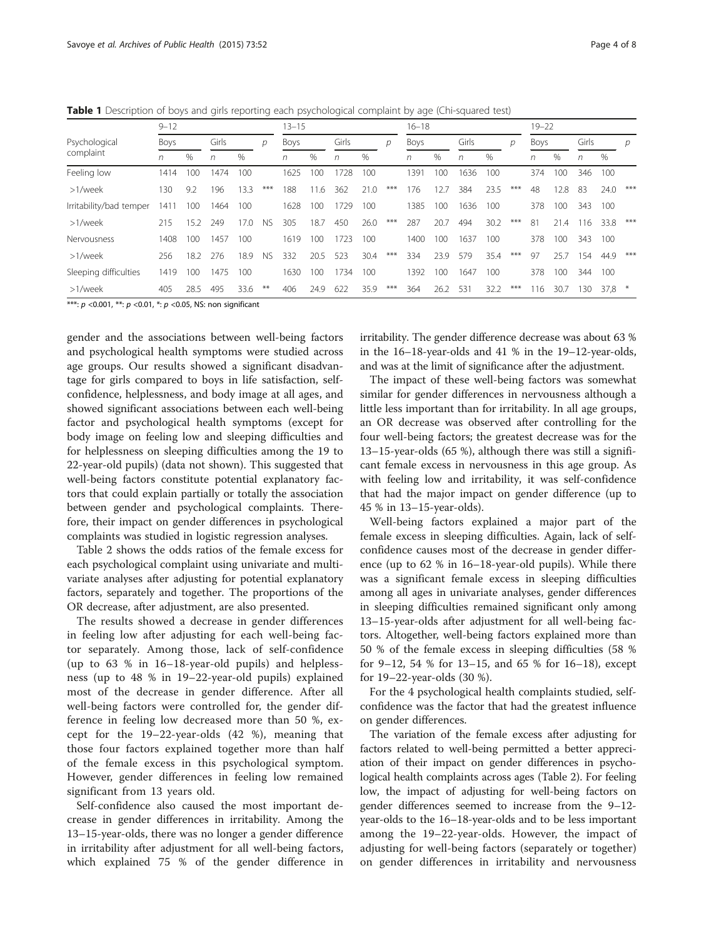<span id="page-3-0"></span>

|  | Table 1 Description of boys and girls reporting each psychological complaint by age (Chi-squared test) |  |  |  |  |  |  |  |  |  |
|--|--------------------------------------------------------------------------------------------------------|--|--|--|--|--|--|--|--|--|
|--|--------------------------------------------------------------------------------------------------------|--|--|--|--|--|--|--|--|--|

|                         | $9 - 12$ |      |       |      | $13 - 15$ |      |      |       | $16 - 18$ |     |             |      |       | $19 - 22$ |     |      |      |       |      |     |
|-------------------------|----------|------|-------|------|-----------|------|------|-------|-----------|-----|-------------|------|-------|-----------|-----|------|------|-------|------|-----|
| Psychological           | Boys     |      | Girls |      | D         | Boys |      | Girls |           | D   | <b>Boys</b> |      | Girls |           | р   | Boys |      | Girls |      | р   |
| complaint               | n        | %    | n     | $\%$ |           | n    | %    | n     | $\%$      |     | n           | %    | n     | $\%$      |     | n    | $\%$ | n     | $\%$ |     |
| Feeling low             | 1414     | 100  | 1474  | 100  |           | 1625 | 100  | 728   | 100       |     | 1391        | 100  | 1636  | 100       |     | 374  | 100  | 346   | 100  |     |
| >1/week                 | 130.     | 9.2  | 196   | 13.3 | $***$     | 188  | 11.6 | 362   | 21.0      | *** | 176         | 12.7 | 384   | 23.5      | *** | 48   | 12.8 | 83    | 24.0 | *** |
| Irritability/bad temper | 1411     | 100  | 1464  | 100  |           | 1628 | 100  | 1729  | 100       |     | 1385        | 100  | 1636  | 100       |     | 378  | 100  | 343   | 100  |     |
| >1/week                 | 215      | 15.2 | 249   | 17.0 | <b>NS</b> | 305  | 18.7 | 450   | 26.0      | *** | 287         | 20.7 | 494   | 30.2      | *** | 81   | 21.4 | 116   | 33.8 | *** |
| Nervousness             | 1408     | 100  | 1457  | 100  |           | 1619 | 100  | 1723  | 100       |     | 1400        | 100  | 1637  | 100       |     | 378  | 100  | 343   | 100  |     |
| >1/week                 | 256      | 18.2 | 276   | 18.9 | <b>NS</b> | 332  | 20.5 | 523   | 30.4      | *** | 334         | 23.9 | 579   | 35.4      | *** | 97   | 25.7 | 154   | 44.9 | *** |
| Sleeping difficulties   | 1419     | 100  | 1475  | 100  |           | 1630 | 100  | 1734  | 100       |     | 1392        | 100. | 1647  | 100       |     | 378  | 100  | 344   | 100  |     |
| >1/week                 | 405      | 28.5 | 495   | 33.6 | $***$     | 406  | 24.9 | 622   | 35.9      | *** | 364         | 26.2 | 531   | 32.2      | *** | 116  | 30.7 | 130   | 37.8 | $*$ |

\*\*\*:  $p$  <0.001, \*\*:  $p$  <0.01, \*:  $p$  <0.05, NS: non significant

gender and the associations between well-being factors and psychological health symptoms were studied across age groups. Our results showed a significant disadvantage for girls compared to boys in life satisfaction, selfconfidence, helplessness, and body image at all ages, and showed significant associations between each well-being factor and psychological health symptoms (except for body image on feeling low and sleeping difficulties and for helplessness on sleeping difficulties among the 19 to 22-year-old pupils) (data not shown). This suggested that well-being factors constitute potential explanatory factors that could explain partially or totally the association between gender and psychological complaints. Therefore, their impact on gender differences in psychological complaints was studied in logistic regression analyses.

Table [2](#page-4-0) shows the odds ratios of the female excess for each psychological complaint using univariate and multivariate analyses after adjusting for potential explanatory factors, separately and together. The proportions of the OR decrease, after adjustment, are also presented.

The results showed a decrease in gender differences in feeling low after adjusting for each well-being factor separately. Among those, lack of self-confidence (up to 63 % in 16–18-year-old pupils) and helplessness (up to 48 % in 19–22-year-old pupils) explained most of the decrease in gender difference. After all well-being factors were controlled for, the gender difference in feeling low decreased more than 50 %, except for the 19–22-year-olds (42 %), meaning that those four factors explained together more than half of the female excess in this psychological symptom. However, gender differences in feeling low remained significant from 13 years old.

Self-confidence also caused the most important decrease in gender differences in irritability. Among the 13–15-year-olds, there was no longer a gender difference in irritability after adjustment for all well-being factors, which explained 75 % of the gender difference in irritability. The gender difference decrease was about 63 % in the 16–18-year-olds and 41 % in the 19–12-year-olds, and was at the limit of significance after the adjustment.

The impact of these well-being factors was somewhat similar for gender differences in nervousness although a little less important than for irritability. In all age groups, an OR decrease was observed after controlling for the four well-being factors; the greatest decrease was for the 13–15-year-olds (65 %), although there was still a significant female excess in nervousness in this age group. As with feeling low and irritability, it was self-confidence that had the major impact on gender difference (up to 45 % in 13–15-year-olds).

Well-being factors explained a major part of the female excess in sleeping difficulties. Again, lack of selfconfidence causes most of the decrease in gender difference (up to 62 % in 16–18-year-old pupils). While there was a significant female excess in sleeping difficulties among all ages in univariate analyses, gender differences in sleeping difficulties remained significant only among 13–15-year-olds after adjustment for all well-being factors. Altogether, well-being factors explained more than 50 % of the female excess in sleeping difficulties (58 % for 9–12, 54 % for 13–15, and 65 % for 16–18), except for 19–22-year-olds (30 %).

For the 4 psychological health complaints studied, selfconfidence was the factor that had the greatest influence on gender differences.

The variation of the female excess after adjusting for factors related to well-being permitted a better appreciation of their impact on gender differences in psychological health complaints across ages (Table [2\)](#page-4-0). For feeling low, the impact of adjusting for well-being factors on gender differences seemed to increase from the 9–12 year-olds to the 16–18-year-olds and to be less important among the 19–22-year-olds. However, the impact of adjusting for well-being factors (separately or together) on gender differences in irritability and nervousness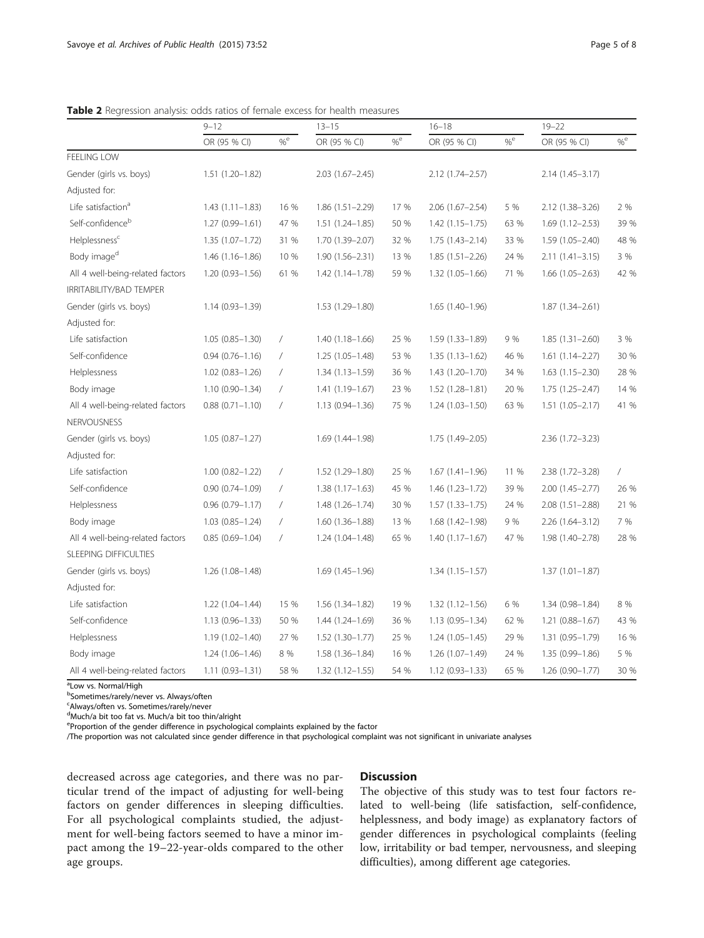|                                  | $9 - 12$               |                 | $13 - 15$           |              | $16 - 18$           |           | $19 - 22$           |                |  |
|----------------------------------|------------------------|-----------------|---------------------|--------------|---------------------|-----------|---------------------|----------------|--|
|                                  | OR (95 % CI)           | $\%^{\text{e}}$ | OR (95 % CI)        | $\%^{\rm e}$ | OR (95 % CI)        | $\% ^{e}$ | OR (95 % CI)        | $\%^{\rm e}$   |  |
| FEELING LOW                      |                        |                 |                     |              |                     |           |                     |                |  |
| Gender (girls vs. boys)          | 1.51 (1.20-1.82)       |                 | $2.03(1.67 - 2.45)$ |              | 2.12 (1.74-2.57)    |           | $2.14(1.45 - 3.17)$ |                |  |
| Adjusted for:                    |                        |                 |                     |              |                     |           |                     |                |  |
| Life satisfaction <sup>a</sup>   | $1.43(1.11 - 1.83)$    | 16 %            | $1.86(1.51 - 2.29)$ | 17 %         | $2.06(1.67 - 2.54)$ | 5 %       | 2.12 (1.38-3.26)    | 2 %            |  |
| Self-confidence <sup>b</sup>     | $1.27(0.99 - 1.61)$    | 47 %            | $1.51(1.24 - 1.85)$ | 50 %         | $1.42(1.15 - 1.75)$ | 63 %      | $1.69(1.12 - 2.53)$ | 39 %           |  |
| Helplessness <sup>c</sup>        | $1.35(1.07 - 1.72)$    | 31 %            | 1.70 (1.39-2.07)    | 32 %         | $1.75(1.43 - 2.14)$ | 33 %      | 1.59 (1.05-2.40)    | 48 %           |  |
| Body image <sup>d</sup>          | $1.46(1.16 - 1.86)$    | 10 %            | $1.90(1.56 - 2.31)$ | 13 %         | $1.85(1.51 - 2.26)$ | 24 %      | $2.11(1.41 - 3.15)$ | 3 %            |  |
| All 4 well-being-related factors | $1.20(0.93 - 1.56)$    | 61 %            | 1.42 (1.14-1.78)    | 59 %         | 1.32 (1.05-1.66)    | 71 %      | $1.66(1.05 - 2.63)$ | 42 %           |  |
| IRRITABILITY/BAD TEMPER          |                        |                 |                     |              |                     |           |                     |                |  |
| Gender (girls vs. boys)          | $1.14(0.93 - 1.39)$    |                 | 1.53 (1.29-1.80)    |              | $1.65(1.40-1.96)$   |           | $1.87(1.34 - 2.61)$ |                |  |
| Adjusted for:                    |                        |                 |                     |              |                     |           |                     |                |  |
| Life satisfaction                | $1.05(0.85 - 1.30)$    | $\sqrt{2}$      | $1.40(1.18 - 1.66)$ | 25 %         | 1.59 (1.33-1.89)    | 9 %       | $1.85(1.31 - 2.60)$ | 3 %            |  |
| Self-confidence                  | $0.94(0.76 - 1.16)$    | $\sqrt{2}$      | $1.25(1.05 - 1.48)$ | 53 %         | $1.35(1.13 - 1.62)$ | 46 %      | $1.61(1.14 - 2.27)$ | 30 %           |  |
| Helplessness                     | $1.02 (0.83 - 1.26)$   | $\sqrt{2}$      | $1.34(1.13 - 1.59)$ | 36 %         | 1.43 (1.20-1.70)    | 34 %      | $1.63(1.15 - 2.30)$ | 28 %           |  |
| Body image                       | $1.10(0.90 - 1.34)$    | $\sqrt{2}$      | 1.41 (1.19-1.67)    | 23 %         | 1.52 (1.28-1.81)    | 20 %      | 1.75 (1.25-2.47)    | 14 %           |  |
| All 4 well-being-related factors | $0.88$ $(0.71 - 1.10)$ | $\sqrt{2}$      | $1.13(0.94 - 1.36)$ | 75 %         | $1.24(1.03 - 1.50)$ | 63 %      | $1.51(1.05 - 2.17)$ | 41 %           |  |
| <b>NERVOUSNESS</b>               |                        |                 |                     |              |                     |           |                     |                |  |
| Gender (girls vs. boys)          | $1.05(0.87 - 1.27)$    |                 | 1.69 (1.44-1.98)    |              | 1.75 (1.49-2.05)    |           | $2.36(1.72 - 3.23)$ |                |  |
| Adjusted for:                    |                        |                 |                     |              |                     |           |                     |                |  |
| Life satisfaction                | $1.00(0.82 - 1.22)$    | $\sqrt{2}$      | $1.52(1.29 - 1.80)$ | 25 %         | $1.67(1.41 - 1.96)$ | 11 %      | $2.38(1.72 - 3.28)$ | $\overline{1}$ |  |
| Self-confidence                  | $0.90(0.74 - 1.09)$    | $\sqrt{2}$      | $1.38(1.17-1.63)$   | 45 %         | 1.46 (1.23-1.72)    | 39 %      | 2.00 (1.45-2.77)    | 26 %           |  |
| Helplessness                     | $0.96(0.79 - 1.17)$    | $\sqrt{2}$      | $1.48(1.26 - 1.74)$ | 30 %         | $1.57(1.33 - 1.75)$ | 24 %      | $2.08(1.51 - 2.88)$ | 21 %           |  |
| Body image                       | $1.03(0.85 - 1.24)$    | $\sqrt{2}$      | $1.60(1.36 - 1.88)$ | 13 %         | 1.68 (1.42-1.98)    | 9 %       | $2.26(1.64 - 3.12)$ | 7 %            |  |
| All 4 well-being-related factors | $0.85(0.69 - 1.04)$    | $\sqrt{2}$      | 1.24 (1.04-1.48)    | 65 %         | $1.40(1.17 - 1.67)$ | 47 %      | 1.98 (1.40-2.78)    | 28 %           |  |
| SLEEPING DIFFICULTIES            |                        |                 |                     |              |                     |           |                     |                |  |
| Gender (girls vs. boys)          | 1.26 (1.08-1.48)       |                 | $1.69(1.45 - 1.96)$ |              | $1.34(1.15 - 1.57)$ |           | $1.37(1.01 - 1.87)$ |                |  |
| Adjusted for:                    |                        |                 |                     |              |                     |           |                     |                |  |
| Life satisfaction                | 1.22 (1.04-1.44)       | 15 %            | 1.56 (1.34-1.82)    | 19 %         | $1.32(1.12 - 1.56)$ | 6 %       | 1.34 (0.98-1.84)    | 8 %            |  |
| Self-confidence                  | $1.13(0.96 - 1.33)$    | 50 %            | $1.44(1.24 - 1.69)$ | 36 %         | $1.13(0.95 - 1.34)$ | 62 %      | $1.21(0.88 - 1.67)$ | 43 %           |  |
| Helplessness                     | $1.19(1.02 - 1.40)$    | 27 %            | $1.52(1.30-1.77)$   | 25 %         | $1.24(1.05 - 1.45)$ | 29 %      | 1.31 (0.95-1.79)    | 16 %           |  |
| Body image                       | $1.24(1.06 - 1.46)$    | 8 %             | $1.58(1.36 - 1.84)$ | 16 %         | $1.26(1.07 - 1.49)$ | 24 %      | 1.35 (0.99-1.86)    | 5 %            |  |
| All 4 well-being-related factors | $1.11(0.93 - 1.31)$    | 58 %            | $1.32(1.12 - 1.55)$ | 54 %         | 1.12 (0.93-1.33)    | 65 %      | 1.26 (0.90-1.77)    | 30 %           |  |

<span id="page-4-0"></span>Table 2 Regression analysis: odds ratios of female excess for health measures

<sup>a</sup>Low vs. Normal/High

b Sometimes/rarely/never vs. Always/often

c Always/often vs. Sometimes/rarely/never

d Much/a bit too fat vs. Much/a bit too thin/alright

eProportion of the gender difference in psychological complaints explained by the factor

/The proportion was not calculated since gender difference in that psychological complaint was not significant in univariate analyses

decreased across age categories, and there was no particular trend of the impact of adjusting for well-being factors on gender differences in sleeping difficulties. For all psychological complaints studied, the adjustment for well-being factors seemed to have a minor impact among the 19–22-year-olds compared to the other age groups.

## **Discussion**

The objective of this study was to test four factors related to well-being (life satisfaction, self-confidence, helplessness, and body image) as explanatory factors of gender differences in psychological complaints (feeling low, irritability or bad temper, nervousness, and sleeping difficulties), among different age categories.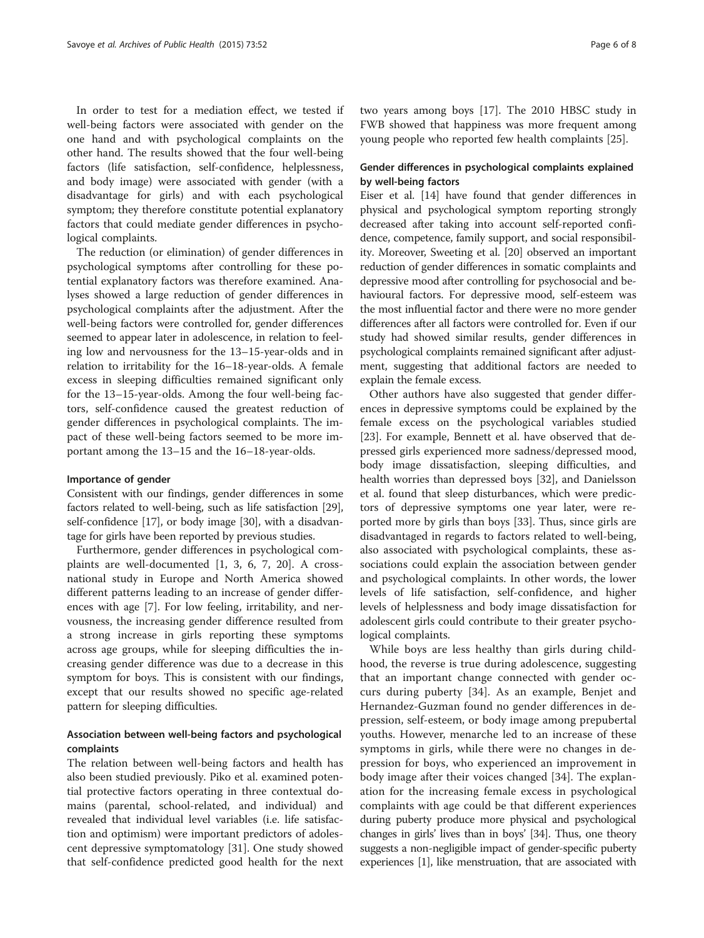In order to test for a mediation effect, we tested if well-being factors were associated with gender on the one hand and with psychological complaints on the other hand. The results showed that the four well-being factors (life satisfaction, self-confidence, helplessness, and body image) were associated with gender (with a disadvantage for girls) and with each psychological symptom; they therefore constitute potential explanatory factors that could mediate gender differences in psychological complaints.

The reduction (or elimination) of gender differences in psychological symptoms after controlling for these potential explanatory factors was therefore examined. Analyses showed a large reduction of gender differences in psychological complaints after the adjustment. After the well-being factors were controlled for, gender differences seemed to appear later in adolescence, in relation to feeling low and nervousness for the 13–15-year-olds and in relation to irritability for the 16–18-year-olds. A female excess in sleeping difficulties remained significant only for the 13–15-year-olds. Among the four well-being factors, self-confidence caused the greatest reduction of gender differences in psychological complaints. The impact of these well-being factors seemed to be more important among the 13–15 and the 16–18-year-olds.

## Importance of gender

Consistent with our findings, gender differences in some factors related to well-being, such as life satisfaction [[29](#page-7-0)], self-confidence [\[17\]](#page-6-0), or body image [[30](#page-7-0)], with a disadvantage for girls have been reported by previous studies.

Furthermore, gender differences in psychological complaints are well-documented [\[1](#page-6-0), [3, 6, 7, 20\]](#page-6-0). A crossnational study in Europe and North America showed different patterns leading to an increase of gender differences with age [\[7](#page-6-0)]. For low feeling, irritability, and nervousness, the increasing gender difference resulted from a strong increase in girls reporting these symptoms across age groups, while for sleeping difficulties the increasing gender difference was due to a decrease in this symptom for boys. This is consistent with our findings, except that our results showed no specific age-related pattern for sleeping difficulties.

## Association between well-being factors and psychological complaints

The relation between well-being factors and health has also been studied previously. Piko et al. examined potential protective factors operating in three contextual domains (parental, school-related, and individual) and revealed that individual level variables (i.e. life satisfaction and optimism) were important predictors of adolescent depressive symptomatology [\[31\]](#page-7-0). One study showed that self-confidence predicted good health for the next

two years among boys [[17\]](#page-6-0). The 2010 HBSC study in FWB showed that happiness was more frequent among young people who reported few health complaints [[25](#page-7-0)].

## Gender differences in psychological complaints explained by well-being factors

Eiser et al. [\[14\]](#page-6-0) have found that gender differences in physical and psychological symptom reporting strongly decreased after taking into account self-reported confidence, competence, family support, and social responsibility. Moreover, Sweeting et al. [[20](#page-6-0)] observed an important reduction of gender differences in somatic complaints and depressive mood after controlling for psychosocial and behavioural factors. For depressive mood, self-esteem was the most influential factor and there were no more gender differences after all factors were controlled for. Even if our study had showed similar results, gender differences in psychological complaints remained significant after adjustment, suggesting that additional factors are needed to explain the female excess.

Other authors have also suggested that gender differences in depressive symptoms could be explained by the female excess on the psychological variables studied [[23\]](#page-6-0). For example, Bennett et al. have observed that depressed girls experienced more sadness/depressed mood, body image dissatisfaction, sleeping difficulties, and health worries than depressed boys [[32\]](#page-7-0), and Danielsson et al. found that sleep disturbances, which were predictors of depressive symptoms one year later, were reported more by girls than boys [[33\]](#page-7-0). Thus, since girls are disadvantaged in regards to factors related to well-being, also associated with psychological complaints, these associations could explain the association between gender and psychological complaints. In other words, the lower levels of life satisfaction, self-confidence, and higher levels of helplessness and body image dissatisfaction for adolescent girls could contribute to their greater psychological complaints.

While boys are less healthy than girls during childhood, the reverse is true during adolescence, suggesting that an important change connected with gender occurs during puberty [\[34](#page-7-0)]. As an example, Benjet and Hernandez-Guzman found no gender differences in depression, self-esteem, or body image among prepubertal youths. However, menarche led to an increase of these symptoms in girls, while there were no changes in depression for boys, who experienced an improvement in body image after their voices changed [[34\]](#page-7-0). The explanation for the increasing female excess in psychological complaints with age could be that different experiences during puberty produce more physical and psychological changes in girls' lives than in boys' [\[34\]](#page-7-0). Thus, one theory suggests a non-negligible impact of gender-specific puberty experiences [\[1](#page-6-0)], like menstruation, that are associated with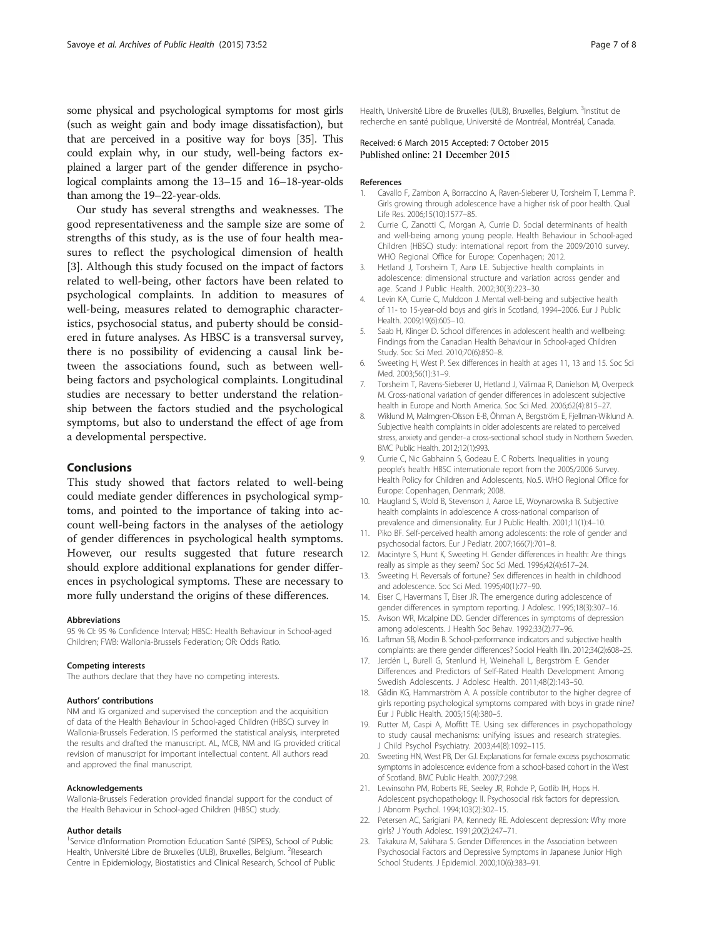<span id="page-6-0"></span>some physical and psychological symptoms for most girls (such as weight gain and body image dissatisfaction), but that are perceived in a positive way for boys [[35](#page-7-0)]. This could explain why, in our study, well-being factors explained a larger part of the gender difference in psychological complaints among the 13–15 and 16–18-year-olds than among the 19–22-year-olds.

Our study has several strengths and weaknesses. The good representativeness and the sample size are some of strengths of this study, as is the use of four health measures to reflect the psychological dimension of health [3]. Although this study focused on the impact of factors related to well-being, other factors have been related to psychological complaints. In addition to measures of well-being, measures related to demographic characteristics, psychosocial status, and puberty should be considered in future analyses. As HBSC is a transversal survey, there is no possibility of evidencing a causal link between the associations found, such as between wellbeing factors and psychological complaints. Longitudinal studies are necessary to better understand the relationship between the factors studied and the psychological symptoms, but also to understand the effect of age from a developmental perspective.

#### Conclusions

This study showed that factors related to well-being could mediate gender differences in psychological symptoms, and pointed to the importance of taking into account well-being factors in the analyses of the aetiology of gender differences in psychological health symptoms. However, our results suggested that future research should explore additional explanations for gender differences in psychological symptoms. These are necessary to more fully understand the origins of these differences.

#### Abbreviations

95 % CI: 95 % Confidence Interval; HBSC: Health Behaviour in School-aged Children; FWB: Wallonia-Brussels Federation; OR: Odds Ratio.

#### Competing interests

The authors declare that they have no competing interests.

#### Authors' contributions

NM and IG organized and supervised the conception and the acquisition of data of the Health Behaviour in School-aged Children (HBSC) survey in Wallonia-Brussels Federation. IS performed the statistical analysis, interpreted the results and drafted the manuscript. AL, MCB, NM and IG provided critical revision of manuscript for important intellectual content. All authors read and approved the final manuscript.

#### Acknowledgements

Wallonia-Brussels Federation provided financial support for the conduct of the Health Behaviour in School-aged Children (HBSC) study.

#### Author details

<sup>1</sup>Service d'Information Promotion Education Santé (SIPES), School of Public Health, Université Libre de Bruxelles (ULB), Bruxelles, Belgium. <sup>2</sup>Research Centre in Epidemiology, Biostatistics and Clinical Research, School of Public

Health, Université Libre de Bruxelles (ULB), Bruxelles, Belgium. <sup>3</sup>Institut de recherche en santé publique, Université de Montréal, Montréal, Canada.

## Received: 6 March 2015 Accepted: 7 October 2015 Published online: 21 December 2015

#### References

- Cavallo F, Zambon A, Borraccino A, Raven-Sieberer U, Torsheim T, Lemma P. Girls growing through adolescence have a higher risk of poor health. Qual Life Res. 2006;15(10):1577–85.
- 2. Currie C, Zanotti C, Morgan A, Currie D. Social determinants of health and well-being among young people. Health Behaviour in School-aged Children (HBSC) study: international report from the 2009/2010 survey. WHO Regional Office for Europe: Copenhagen; 2012.
- 3. Hetland J, Torsheim T, Aarø LE. Subjective health complaints in adolescence: dimensional structure and variation across gender and age. Scand J Public Health. 2002;30(3):223–30.
- 4. Levin KA, Currie C, Muldoon J. Mental well-being and subjective health of 11- to 15-year-old boys and girls in Scotland, 1994–2006. Eur J Public Health. 2009;19(6):605–10.
- 5. Saab H, Klinger D. School differences in adolescent health and wellbeing: Findings from the Canadian Health Behaviour in School-aged Children Study. Soc Sci Med. 2010;70(6):850–8.
- 6. Sweeting H, West P. Sex differences in health at ages 11, 13 and 15. Soc Sci Med. 2003;56(1):31–9.
- 7. Torsheim T, Ravens-Sieberer U, Hetland J, Välimaa R, Danielson M, Overpeck M. Cross-national variation of gender differences in adolescent subjective health in Europe and North America. Soc Sci Med. 2006;62(4):815–27.
- 8. Wiklund M, Malmgren-Olsson E-B, Öhman A, Bergström E, Fjellman-Wiklund A. Subjective health complaints in older adolescents are related to perceived stress, anxiety and gender–a cross-sectional school study in Northern Sweden. BMC Public Health. 2012;12(1):993.
- 9. Currie C, Nic Gabhainn S, Godeau E. C Roberts. Inequalities in young people's health: HBSC internationale report from the 2005/2006 Survey. Health Policy for Children and Adolescents, No.5. WHO Regional Office for Europe: Copenhagen, Denmark; 2008.
- 10. Haugland S, Wold B, Stevenson J, Aaroe LE, Woynarowska B. Subjective health complaints in adolescence A cross-national comparison of prevalence and dimensionality. Eur J Public Health. 2001;11(1):4–10.
- 11. Piko BF. Self-perceived health among adolescents: the role of gender and psychosocial factors. Eur J Pediatr. 2007;166(7):701–8.
- 12. Macintyre S, Hunt K, Sweeting H. Gender differences in health: Are things really as simple as they seem? Soc Sci Med. 1996;42(4):617–24.
- 13. Sweeting H. Reversals of fortune? Sex differences in health in childhood and adolescence. Soc Sci Med. 1995;40(1):77–90.
- 14. Eiser C, Havermans T, Eiser JR. The emergence during adolescence of gender differences in symptom reporting. J Adolesc. 1995;18(3):307–16.
- 15. Avison WR, Mcalpine DD. Gender differences in symptoms of depression among adolescents. J Health Soc Behav. 1992;33(2):77–96.
- 16. Laftman SB, Modin B. School-performance indicators and subjective health complaints: are there gender differences? Sociol Health Illn. 2012;34(2):608–25.
- 17. Jerdén L, Burell G, Stenlund H, Weinehall L, Bergström E. Gender Differences and Predictors of Self-Rated Health Development Among Swedish Adolescents. J Adolesc Health. 2011;48(2):143–50.
- 18. Gådin KG, Hammarström A. A possible contributor to the higher degree of girls reporting psychological symptoms compared with boys in grade nine? Eur J Public Health. 2005;15(4):380–5.
- 19. Rutter M, Caspi A, Moffitt TE. Using sex differences in psychopathology to study causal mechanisms: unifying issues and research strategies. J Child Psychol Psychiatry. 2003;44(8):1092–115.
- 20. Sweeting HN, West PB, Der GJ. Explanations for female excess psychosomatic symptoms in adolescence: evidence from a school-based cohort in the West of Scotland. BMC Public Health. 2007;7:298.
- 21. Lewinsohn PM, Roberts RE, Seeley JR, Rohde P, Gotlib IH, Hops H. Adolescent psychopathology: II. Psychosocial risk factors for depression. J Abnorm Psychol. 1994;103(2):302–15.
- 22. Petersen AC, Sarigiani PA, Kennedy RE. Adolescent depression: Why more girls? J Youth Adolesc. 1991;20(2):247–71.
- 23. Takakura M, Sakihara S. Gender Differences in the Association between Psychosocial Factors and Depressive Symptoms in Japanese Junior High School Students. J Epidemiol. 2000;10(6):383–91.